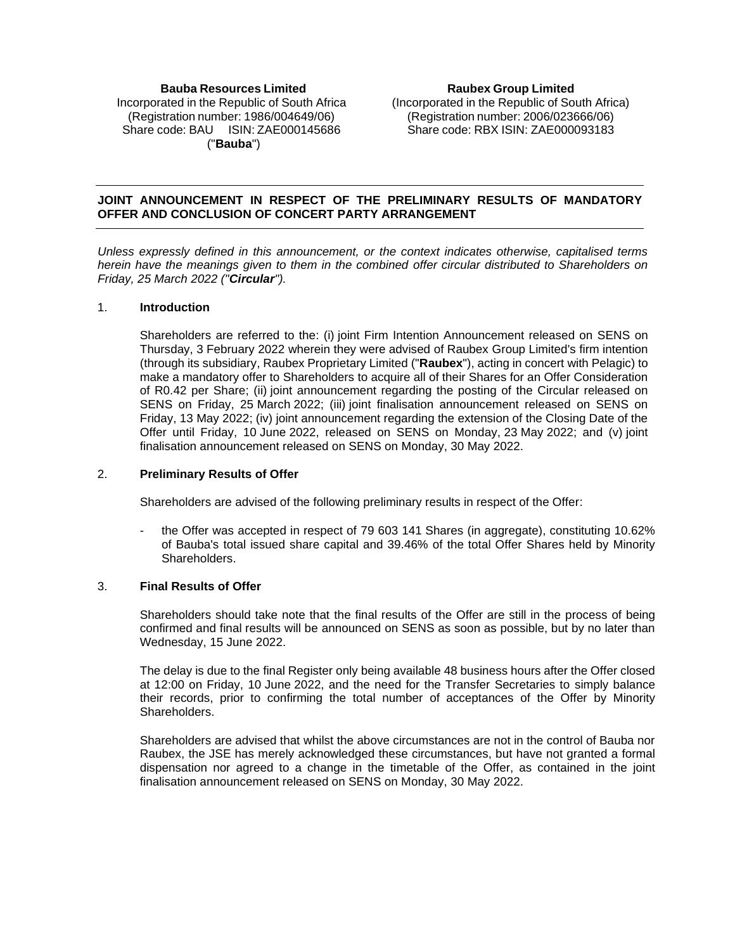## **Bauba Resources Limited** Incorporated in the Republic of South Africa (Registration number: 1986/004649/06) Share code: BAU ISIN: ZAE000145686 ("**Bauba**")

**Raubex Group Limited** (Incorporated in the Republic of South Africa) (Registration number: 2006/023666/06) Share code: RBX ISIN: ZAE000093183

## **JOINT ANNOUNCEMENT IN RESPECT OF THE PRELIMINARY RESULTS OF MANDATORY OFFER AND CONCLUSION OF CONCERT PARTY ARRANGEMENT**

*Unless expressly defined in this announcement, or the context indicates otherwise, capitalised terms herein have the meanings given to them in the combined offer circular distributed to Shareholders on Friday, 25 March 2022 ("Circular").*

#### 1. **Introduction**

Shareholders are referred to the: (i) joint Firm Intention Announcement released on SENS on Thursday, 3 February 2022 wherein they were advised of Raubex Group Limited's firm intention (through its subsidiary, Raubex Proprietary Limited ("**Raubex**"), acting in concert with Pelagic) to make a mandatory offer to Shareholders to acquire all of their Shares for an Offer Consideration of R0.42 per Share; (ii) joint announcement regarding the posting of the Circular released on SENS on Friday, 25 March 2022; (iii) joint finalisation announcement released on SENS on Friday, 13 May 2022; (iv) joint announcement regarding the extension of the Closing Date of the Offer until Friday, 10 June 2022, released on SENS on Monday, 23 May 2022; and (v) joint finalisation announcement released on SENS on Monday, 30 May 2022.

### 2. **Preliminary Results of Offer**

Shareholders are advised of the following preliminary results in respect of the Offer:

the Offer was accepted in respect of 79 603 141 Shares (in aggregate), constituting 10.62% of Bauba's total issued share capital and 39.46% of the total Offer Shares held by Minority Shareholders.

#### 3. **Final Results of Offer**

Shareholders should take note that the final results of the Offer are still in the process of being confirmed and final results will be announced on SENS as soon as possible, but by no later than Wednesday, 15 June 2022.

The delay is due to the final Register only being available 48 business hours after the Offer closed at 12:00 on Friday, 10 June 2022, and the need for the Transfer Secretaries to simply balance their records, prior to confirming the total number of acceptances of the Offer by Minority Shareholders.

Shareholders are advised that whilst the above circumstances are not in the control of Bauba nor Raubex, the JSE has merely acknowledged these circumstances, but have not granted a formal dispensation nor agreed to a change in the timetable of the Offer, as contained in the joint finalisation announcement released on SENS on Monday, 30 May 2022.